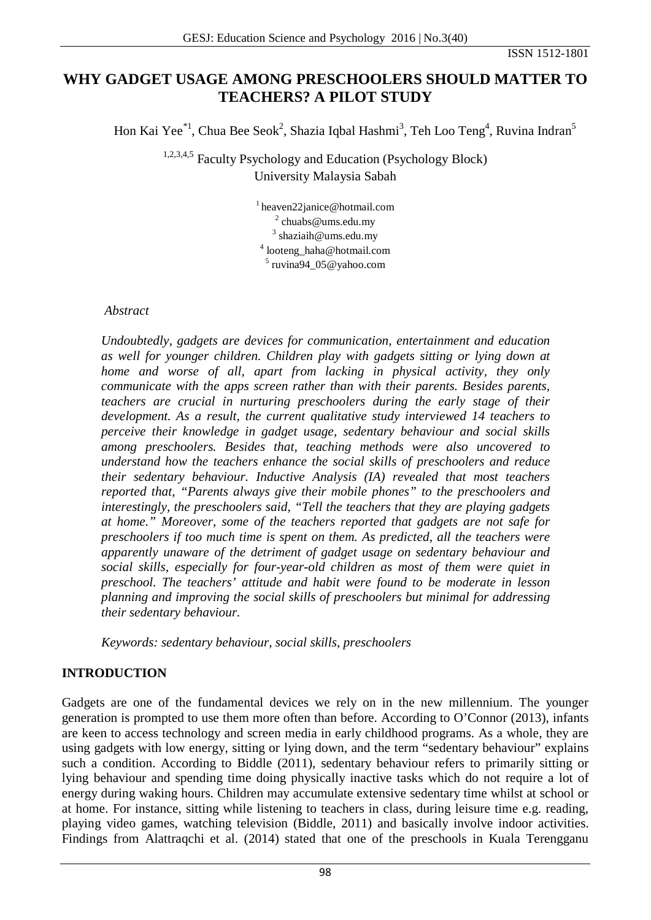#### ISSN 1512-1801

# **WHY GADGET USAGE AMONG PRESCHOOLERS SHOULD MATTER TO TEACHERS? A PILOT STUDY**

Hon Kai Yee $^{*1}$ , Chua Bee Seok $^2$ , Shazia Iqbal Hashmi $^3$ , Teh Loo Teng $^4$ , Ruvina Indran $^5$ 

1,2,3,4,5 Faculty Psychology and Education (Psychology Block) University Malaysia Sabah

> [1 heaven22janice@hotmail.com](mailto:heaven22janice@hotmail.com) [chuabs@ums.edu.my](mailto:chuabs@ums.edu.my) shaziaih@ums.edu.my looteng haha@hotmail.com ruvina94  $05@$ yahoo.com

#### *Abstract*

*Undoubtedly, gadgets are devices for communication, entertainment and education as well for younger children. Children play with gadgets sitting or lying down at home and worse of all, apart from lacking in physical activity, they only communicate with the apps screen rather than with their parents. Besides parents, teachers are crucial in nurturing preschoolers during the early stage of their development. As a result, the current qualitative study interviewed 14 teachers to perceive their knowledge in gadget usage, sedentary behaviour and social skills among preschoolers. Besides that, teaching methods were also uncovered to understand how the teachers enhance the social skills of preschoolers and reduce their sedentary behaviour. Inductive Analysis (IA) revealed that most teachers reported that, "Parents always give their mobile phones" to the preschoolers and interestingly, the preschoolers said, "Tell the teachers that they are playing gadgets at home." Moreover, some of the teachers reported that gadgets are not safe for preschoolers if too much time is spent on them. As predicted, all the teachers were apparently unaware of the detriment of gadget usage on sedentary behaviour and social skills, especially for four-year-old children as most of them were quiet in preschool. The teachers' attitude and habit were found to be moderate in lesson planning and improving the social skills of preschoolers but minimal for addressing their sedentary behaviour.* 

*Keywords: sedentary behaviour, social skills, preschoolers*

# **INTRODUCTION**

Gadgets are one of the fundamental devices we rely on in the new millennium. The younger generation is prompted to use them more often than before. According to O'Connor (2013), infants are keen to access technology and screen media in early childhood programs. As a whole, they are using gadgets with low energy, sitting or lying down, and the term "sedentary behaviour" explains such a condition. According to Biddle (2011), sedentary behaviour refers to primarily sitting or lying behaviour and spending time doing physically inactive tasks which do not require a lot of energy during waking hours. Children may accumulate extensive sedentary time whilst at school or at home. For instance, sitting while listening to teachers in class, during leisure time e.g. reading, playing video games, watching television (Biddle, 2011) and basically involve indoor activities. Findings from Alattraqchi et al. (2014) stated that one of the preschools in Kuala Terengganu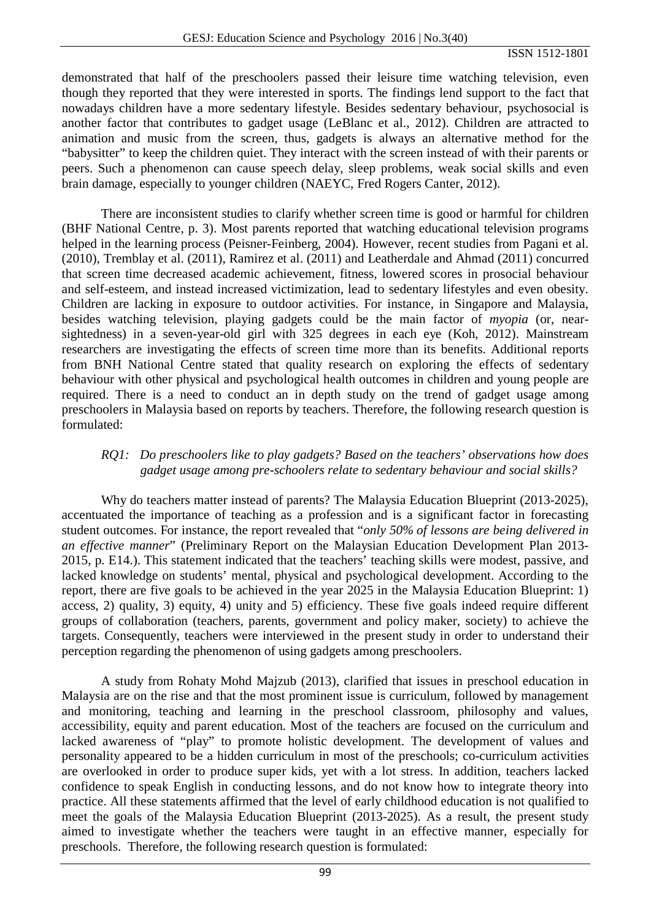demonstrated that half of the preschoolers passed their leisure time watching television, even though they reported that they were interested in sports. The findings lend support to the fact that nowadays children have a more sedentary lifestyle. Besides sedentary behaviour, psychosocial is another factor that contributes to gadget usage (LeBlanc et al., 2012). Children are attracted to animation and music from the screen, thus, gadgets is always an alternative method for the "babysitter" to keep the children quiet. They interact with the screen instead of with their parents or peers. Such a phenomenon can cause speech delay, sleep problems, weak social skills and even brain damage, especially to younger children (NAEYC, Fred Rogers Canter, 2012).

There are inconsistent studies to clarify whether screen time is good or harmful for children (BHF National Centre, p. 3). Most parents reported that watching educational television programs helped in the learning process (Peisner-Feinberg, 2004). However, recent studies from Pagani et al. (2010), Tremblay et al. (2011), Ramirez et al. (2011) and Leatherdale and Ahmad (2011) concurred that screen time decreased academic achievement, fitness, lowered scores in prosocial behaviour and self-esteem, and instead increased victimization, lead to sedentary lifestyles and even obesity. Children are lacking in exposure to outdoor activities. For instance, in Singapore and Malaysia, besides watching television, playing gadgets could be the main factor of *myopia* (or, nearsightedness) in a seven-year-old girl with 325 degrees in each eye (Koh, 2012). Mainstream researchers are investigating the effects of screen time more than its benefits. Additional reports from BNH National Centre stated that quality research on exploring the effects of sedentary behaviour with other physical and psychological health outcomes in children and young people are required. There is a need to conduct an in depth study on the trend of gadget usage among preschoolers in Malaysia based on reports by teachers. Therefore, the following research question is formulated:

### *RQ1: Do preschoolers like to play gadgets? Based on the teachers' observations how does gadget usage among pre-schoolers relate to sedentary behaviour and social skills?*

Why do teachers matter instead of parents? The Malaysia Education Blueprint (2013-2025), accentuated the importance of teaching as a profession and is a significant factor in forecasting student outcomes. For instance, the report revealed that "*only 50% of lessons are being delivered in an effective manner*" (Preliminary Report on the Malaysian Education Development Plan 2013- 2015, p. E14.). This statement indicated that the teachers' teaching skills were modest, passive, and lacked knowledge on students' mental, physical and psychological development. According to the report, there are five goals to be achieved in the year 2025 in the Malaysia Education Blueprint: 1) access, 2) quality, 3) equity, 4) unity and 5) efficiency. These five goals indeed require different groups of collaboration (teachers, parents, government and policy maker, society) to achieve the targets. Consequently, teachers were interviewed in the present study in order to understand their perception regarding the phenomenon of using gadgets among preschoolers.

A study from Rohaty Mohd Majzub (2013), clarified that issues in preschool education in Malaysia are on the rise and that the most prominent issue is curriculum, followed by management and monitoring, teaching and learning in the preschool classroom, philosophy and values, accessibility, equity and parent education. Most of the teachers are focused on the curriculum and lacked awareness of "play" to promote holistic development. The development of values and personality appeared to be a hidden curriculum in most of the preschools; co-curriculum activities are overlooked in order to produce super kids, yet with a lot stress. In addition, teachers lacked confidence to speak English in conducting lessons, and do not know how to integrate theory into practice. All these statements affirmed that the level of early childhood education is not qualified to meet the goals of the Malaysia Education Blueprint (2013-2025). As a result, the present study aimed to investigate whether the teachers were taught in an effective manner, especially for preschools. Therefore, the following research question is formulated: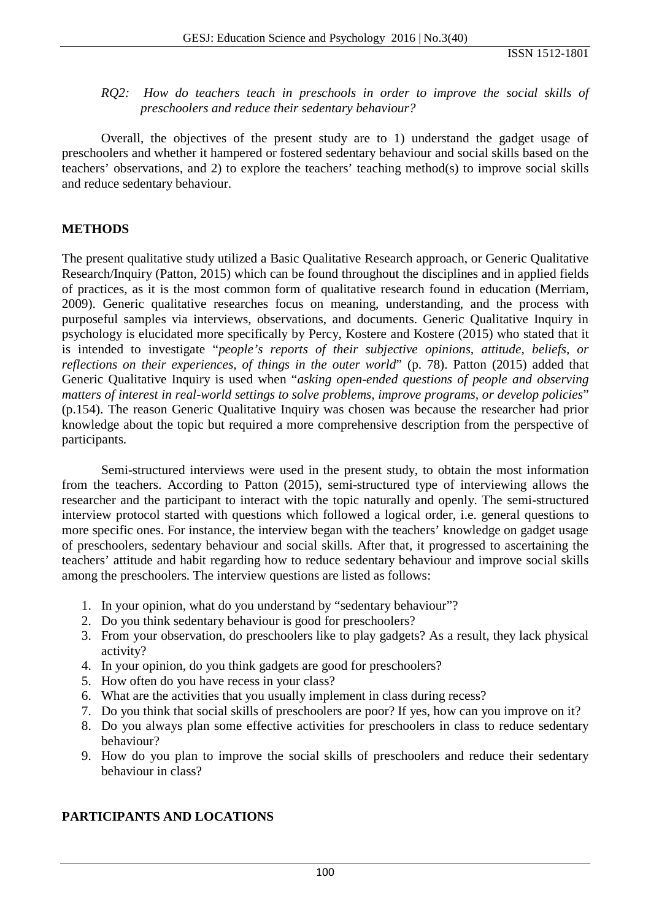#### *RQ2: How do teachers teach in preschools in order to improve the social skills of preschoolers and reduce their sedentary behaviour?*

Overall, the objectives of the present study are to 1) understand the gadget usage of preschoolers and whether it hampered or fostered sedentary behaviour and social skills based on the teachers' observations, and 2) to explore the teachers' teaching method(s) to improve social skills and reduce sedentary behaviour.

### **METHODS**

The present qualitative study utilized a Basic Qualitative Research approach, or Generic Qualitative Research/Inquiry (Patton, 2015) which can be found throughout the disciplines and in applied fields of practices, as it is the most common form of qualitative research found in education (Merriam, 2009). Generic qualitative researches focus on meaning, understanding, and the process with purposeful samples via interviews, observations, and documents. Generic Qualitative Inquiry in psychology is elucidated more specifically by Percy, Kostere and Kostere (2015) who stated that it is intended to investigate "*people's reports of their subjective opinions, attitude, beliefs, or reflections on their experiences, of things in the outer world*" (p. 78). Patton (2015) added that Generic Qualitative Inquiry is used when "*asking open-ended questions of people and observing matters of interest in real-world settings to solve problems, improve programs, or develop policies*" (p.154). The reason Generic Qualitative Inquiry was chosen was because the researcher had prior knowledge about the topic but required a more comprehensive description from the perspective of participants.

Semi-structured interviews were used in the present study, to obtain the most information from the teachers. According to Patton (2015), semi-structured type of interviewing allows the researcher and the participant to interact with the topic naturally and openly. The semi-structured interview protocol started with questions which followed a logical order, i.e. general questions to more specific ones. For instance, the interview began with the teachers' knowledge on gadget usage of preschoolers, sedentary behaviour and social skills. After that, it progressed to ascertaining the teachers' attitude and habit regarding how to reduce sedentary behaviour and improve social skills among the preschoolers. The interview questions are listed as follows:

- 1. In your opinion, what do you understand by "sedentary behaviour"?
- 2. Do you think sedentary behaviour is good for preschoolers?
- 3. From your observation, do preschoolers like to play gadgets? As a result, they lack physical activity?
- 4. In your opinion, do you think gadgets are good for preschoolers?
- 5. How often do you have recess in your class?
- 6. What are the activities that you usually implement in class during recess?
- 7. Do you think that social skills of preschoolers are poor? If yes, how can you improve on it?
- 8. Do you always plan some effective activities for preschoolers in class to reduce sedentary behaviour?
- 9. How do you plan to improve the social skills of preschoolers and reduce their sedentary behaviour in class?

# **PARTICIPANTS AND LOCATIONS**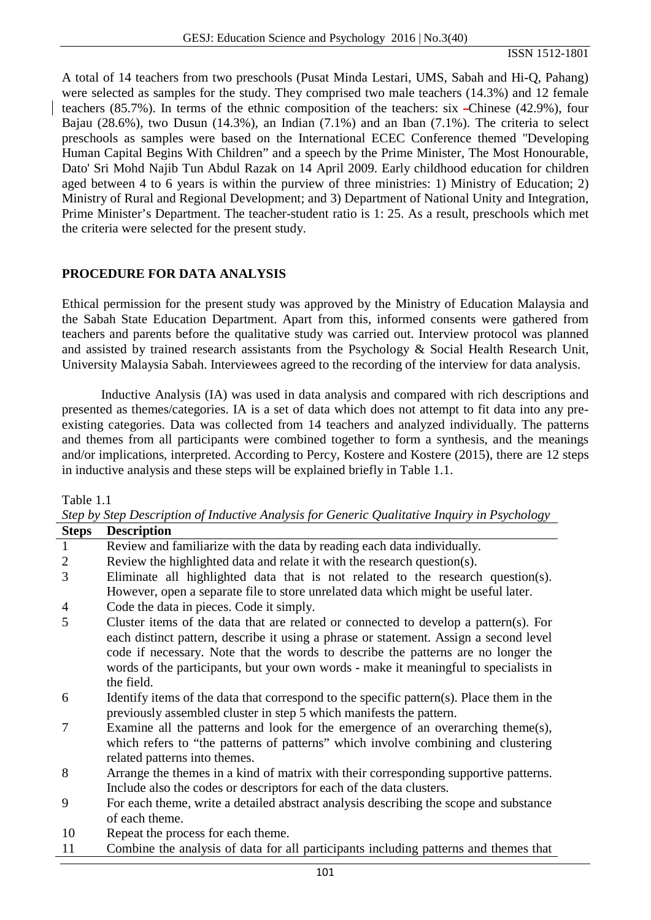ISSN 1512-1801

A total of 14 teachers from two preschools (Pusat Minda Lestari, UMS, Sabah and Hi-Q, Pahang) were selected as samples for the study. They comprised two male teachers (14.3%) and 12 female teachers (85.7%). In terms of the ethnic composition of the teachers: six Chinese (42.9%), four Bajau (28.6%), two Dusun (14.3%), an Indian (7.1%) and an Iban (7.1%). The criteria to select preschools as samples were based on the International ECEC Conference themed "Developing Human Capital Begins With Children" and a speech by the Prime Minister, The Most Honourable, Dato' Sri Mohd Najib Tun Abdul Razak on 14 April 2009. Early childhood education for children aged between 4 to 6 years is within the purview of three ministries: 1) Ministry of Education; 2) Ministry of Rural and Regional Development; and 3) Department of National Unity and Integration, Prime Minister's Department. The teacher-student ratio is 1: 25. As a result, preschools which met the criteria were selected for the present study.

#### **PROCEDURE FOR DATA ANALYSIS**

Ethical permission for the present study was approved by the Ministry of Education Malaysia and the Sabah State Education Department. Apart from this, informed consents were gathered from teachers and parents before the qualitative study was carried out. Interview protocol was planned and assisted by trained research assistants from the Psychology & Social Health Research Unit, University Malaysia Sabah. Interviewees agreed to the recording of the interview for data analysis.

Inductive Analysis (IA) was used in data analysis and compared with rich descriptions and presented as themes/categories. IA is a set of data which does not attempt to fit data into any preexisting categories. Data was collected from 14 teachers and analyzed individually. The patterns and themes from all participants were combined together to form a synthesis, and the meanings and/or implications, interpreted. According to Percy, Kostere and Kostere (2015), there are 12 steps in inductive analysis and these steps will be explained briefly in Table 1.1.

Table 1.1

| <b>Steps</b> | <b>Description</b>                                                                       |  |
|--------------|------------------------------------------------------------------------------------------|--|
| $\mathbf{1}$ | Review and familiarize with the data by reading each data individually.                  |  |
| 2            | Review the highlighted data and relate it with the research question(s).                 |  |
| 3            | Eliminate all highlighted data that is not related to the research question(s).          |  |
|              | However, open a separate file to store unrelated data which might be useful later.       |  |
| 4            | Code the data in pieces. Code it simply.                                                 |  |
| 5            | Cluster items of the data that are related or connected to develop a pattern(s). For     |  |
|              | each distinct pattern, describe it using a phrase or statement. Assign a second level    |  |
|              | code if necessary. Note that the words to describe the patterns are no longer the        |  |
|              | words of the participants, but your own words - make it meaningful to specialists in     |  |
|              | the field.                                                                               |  |
| 6            | Identify items of the data that correspond to the specific pattern(s). Place them in the |  |
|              | previously assembled cluster in step 5 which manifests the pattern.                      |  |
| 7            | Examine all the patterns and look for the emergence of an overarching theme $(s)$ ,      |  |
|              | which refers to "the patterns of patterns" which involve combining and clustering        |  |
|              | related patterns into themes.                                                            |  |
| 8            | Arrange the themes in a kind of matrix with their corresponding supportive patterns.     |  |
|              | Include also the codes or descriptors for each of the data clusters.                     |  |
| 9            | For each theme, write a detailed abstract analysis describing the scope and substance    |  |
|              | of each theme.                                                                           |  |
| 10           | Repeat the process for each theme.                                                       |  |
| 11           | Combine the analysis of data for all participants including patterns and themes that     |  |
|              |                                                                                          |  |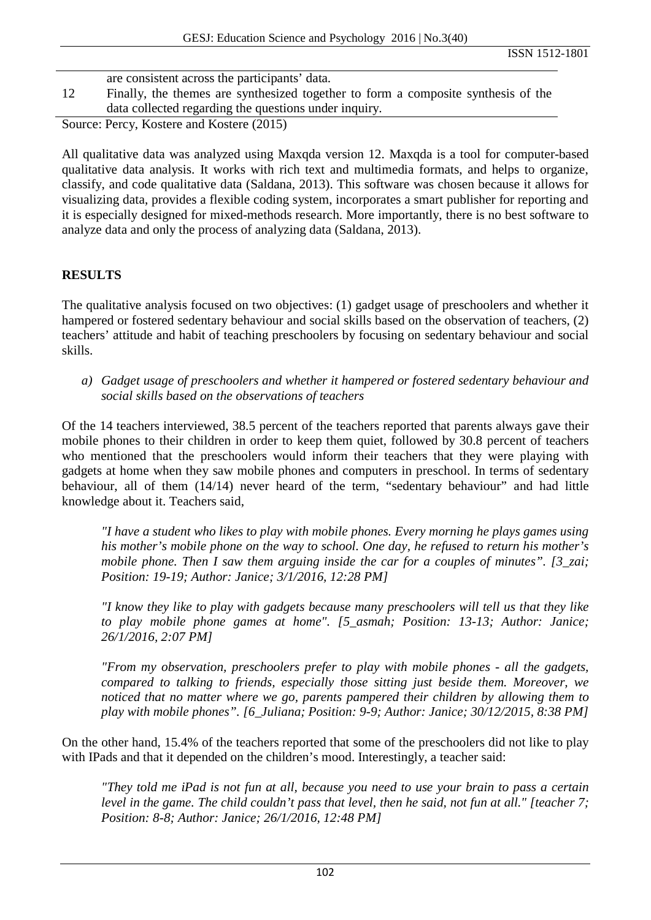|    | are consistent across the participants' data.                                                                                                                                                                                                                                                                                    |
|----|----------------------------------------------------------------------------------------------------------------------------------------------------------------------------------------------------------------------------------------------------------------------------------------------------------------------------------|
| 12 | Finally, the themes are synthesized together to form a composite synthesis of the                                                                                                                                                                                                                                                |
|    | data collected regarding the questions under inquiry.                                                                                                                                                                                                                                                                            |
|    | $\Omega$ $\mathbf{D}$ $\mathbf{U}$ $\mathbf{I}$ $\mathbf{I}$ $\mathbf{V}$ $\mathbf{I}$ $\mathbf{I}$ $\mathbf{I}$ $\mathbf{V}$ $\mathbf{I}$ $\mathbf{I}$ $\mathbf{V}$ $\mathbf{I}$ $\mathbf{V}$ $\mathbf{I}$ $\mathbf{V}$ $\mathbf{I}$ $\mathbf{V}$ $\mathbf{I}$ $\mathbf{V}$ $\mathbf{I}$ $\mathbf{V}$ $\mathbf{V}$ $\mathbf{V}$ |

Source: Percy, Kostere and Kostere (2015)

All qualitative data was analyzed using Maxqda version 12. Maxqda is a tool for computer-based qualitative data analysis. It works with rich text and multimedia formats, and helps to organize, classify, and code qualitative data (Saldana, 2013). This software was chosen because it allows for visualizing data, provides a flexible coding system, incorporates a smart publisher for reporting and it is especially designed for mixed-methods research. More importantly, there is no best software to analyze data and only the process of analyzing data (Saldana, 2013).

#### **RESULTS**

The qualitative analysis focused on two objectives: (1) gadget usage of preschoolers and whether it hampered or fostered sedentary behaviour and social skills based on the observation of teachers, (2) teachers' attitude and habit of teaching preschoolers by focusing on sedentary behaviour and social skills.

*a) Gadget usage of preschoolers and whether it hampered or fostered sedentary behaviour and social skills based on the observations of teachers*

Of the 14 teachers interviewed, 38.5 percent of the teachers reported that parents always gave their mobile phones to their children in order to keep them quiet, followed by 30.8 percent of teachers who mentioned that the preschoolers would inform their teachers that they were playing with gadgets at home when they saw mobile phones and computers in preschool. In terms of sedentary behaviour, all of them (14/14) never heard of the term, "sedentary behaviour" and had little knowledge about it. Teachers said,

*"I have a student who likes to play with mobile phones. Every morning he plays games using his mother's mobile phone on the way to school. One day, he refused to return his mother's mobile phone. Then I saw them arguing inside the car for a couples of minutes". [3\_zai; Position: 19-19; Author: Janice; 3/1/2016, 12:28 PM]*

*"I know they like to play with gadgets because many preschoolers will tell us that they like to play mobile phone games at home". [5\_asmah; Position: 13-13; Author: Janice; 26/1/2016, 2:07 PM]*

*"From my observation, preschoolers prefer to play with mobile phones - all the gadgets, compared to talking to friends, especially those sitting just beside them. Moreover, we noticed that no matter where we go, parents pampered their children by allowing them to play with mobile phones". [6\_Juliana; Position: 9-9; Author: Janice; 30/12/2015, 8:38 PM]*

On the other hand, 15.4% of the teachers reported that some of the preschoolers did not like to play with IPads and that it depended on the children's mood. Interestingly, a teacher said:

*"They told me iPad is not fun at all, because you need to use your brain to pass a certain level in the game. The child couldn't pass that level, then he said, not fun at all." [teacher 7; Position: 8-8; Author: Janice; 26/1/2016, 12:48 PM]*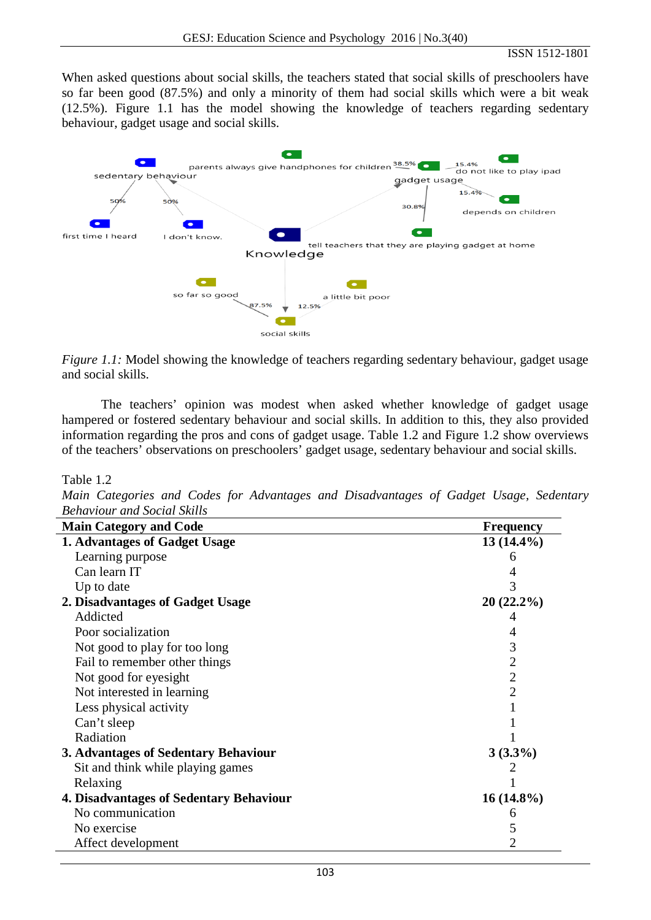When asked questions about social skills, the teachers stated that social skills of preschoolers have so far been good (87.5%) and only a minority of them had social skills which were a bit weak (12.5%). Figure 1.1 has the model showing the knowledge of teachers regarding sedentary behaviour, gadget usage and social skills.



*Figure 1.1:* Model showing the knowledge of teachers regarding sedentary behaviour, gadget usage and social skills.

The teachers' opinion was modest when asked whether knowledge of gadget usage hampered or fostered sedentary behaviour and social skills. In addition to this, they also provided information regarding the pros and cons of gadget usage. Table 1.2 and Figure 1.2 show overviews of the teachers' observations on preschoolers' gadget usage, sedentary behaviour and social skills.

#### Table 1.2

*Main Categories and Codes for Advantages and Disadvantages of Gadget Usage, Sedentary Behaviour and Social Skills*

| <b>Main Category and Code</b>           | <b>Frequency</b> |
|-----------------------------------------|------------------|
| 1. Advantages of Gadget Usage           | $13(14.4\%)$     |
| Learning purpose                        | 6                |
| Can learn IT                            |                  |
| Up to date                              | 3                |
| 2. Disadvantages of Gadget Usage        | $20(22.2\%)$     |
| Addicted                                |                  |
| Poor socialization                      | 4                |
| Not good to play for too long           | 3                |
| Fail to remember other things           | $\overline{2}$   |
| Not good for eyesight                   | $\overline{2}$   |
| Not interested in learning              | 2                |
| Less physical activity                  |                  |
| Can't sleep                             |                  |
| Radiation                               |                  |
| 3. Advantages of Sedentary Behaviour    | $3(3.3\%)$       |
| Sit and think while playing games       |                  |
| Relaxing                                |                  |
| 4. Disadvantages of Sedentary Behaviour | $16(14.8\%)$     |
| No communication                        | 6                |
| No exercise                             | 5                |
| Affect development                      | 2                |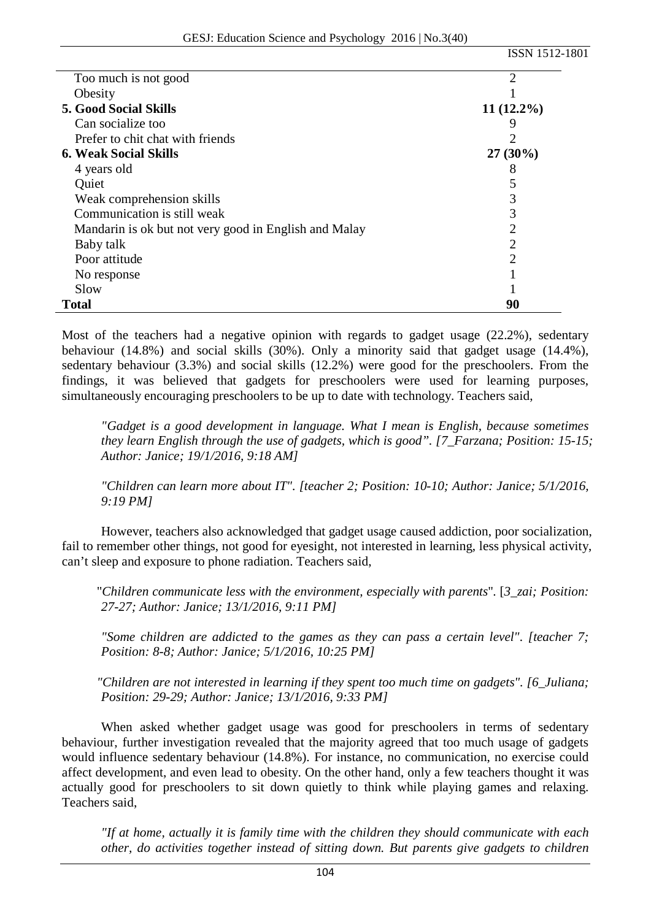|                                                       | ISSN 1512-1801 |
|-------------------------------------------------------|----------------|
| Too much is not good                                  | 2              |
| Obesity                                               |                |
| <b>5. Good Social Skills</b>                          | $11(12.2\%)$   |
| Can socialize too                                     |                |
| Prefer to chit chat with friends                      |                |
| <b>6. Weak Social Skills</b>                          | $27(30\%)$     |
| 4 years old                                           | 8              |
| Quiet                                                 |                |
| Weak comprehension skills                             | 3              |
| Communication is still weak                           | 3              |
| Mandarin is ok but not very good in English and Malay | 2              |
| Baby talk                                             | 2              |
| Poor attitude                                         | 2              |
| No response                                           |                |
| Slow                                                  |                |
| Total                                                 | 90             |

Most of the teachers had a negative opinion with regards to gadget usage (22.2%), sedentary behaviour (14.8%) and social skills (30%). Only a minority said that gadget usage (14.4%), sedentary behaviour (3.3%) and social skills (12.2%) were good for the preschoolers. From the findings, it was believed that gadgets for preschoolers were used for learning purposes, simultaneously encouraging preschoolers to be up to date with technology. Teachers said,

*"Gadget is a good development in language. What I mean is English, because sometimes they learn English through the use of gadgets, which is good". [7\_Farzana; Position: 15-15; Author: Janice; 19/1/2016, 9:18 AM]*

*"Children can learn more about IT". [teacher 2; Position: 10-10; Author: Janice; 5/1/2016, 9:19 PM]*

However, teachers also acknowledged that gadget usage caused addiction, poor socialization, fail to remember other things, not good for eyesight, not interested in learning, less physical activity, can't sleep and exposure to phone radiation. Teachers said,

"*Children communicate less with the environment, especially with parents*". [*3\_zai; Position: 27-27; Author: Janice; 13/1/2016, 9:11 PM]*

*"Some children are addicted to the games as they can pass a certain level". [teacher 7; Position: 8-8; Author: Janice; 5/1/2016, 10:25 PM]*

*"Children are not interested in learning if they spent too much time on gadgets". [6\_Juliana; Position: 29-29; Author: Janice; 13/1/2016, 9:33 PM]*

When asked whether gadget usage was good for preschoolers in terms of sedentary behaviour, further investigation revealed that the majority agreed that too much usage of gadgets would influence sedentary behaviour (14.8%). For instance, no communication, no exercise could affect development, and even lead to obesity. On the other hand, only a few teachers thought it was actually good for preschoolers to sit down quietly to think while playing games and relaxing. Teachers said,

*"If at home, actually it is family time with the children they should communicate with each other, do activities together instead of sitting down. But parents give gadgets to children*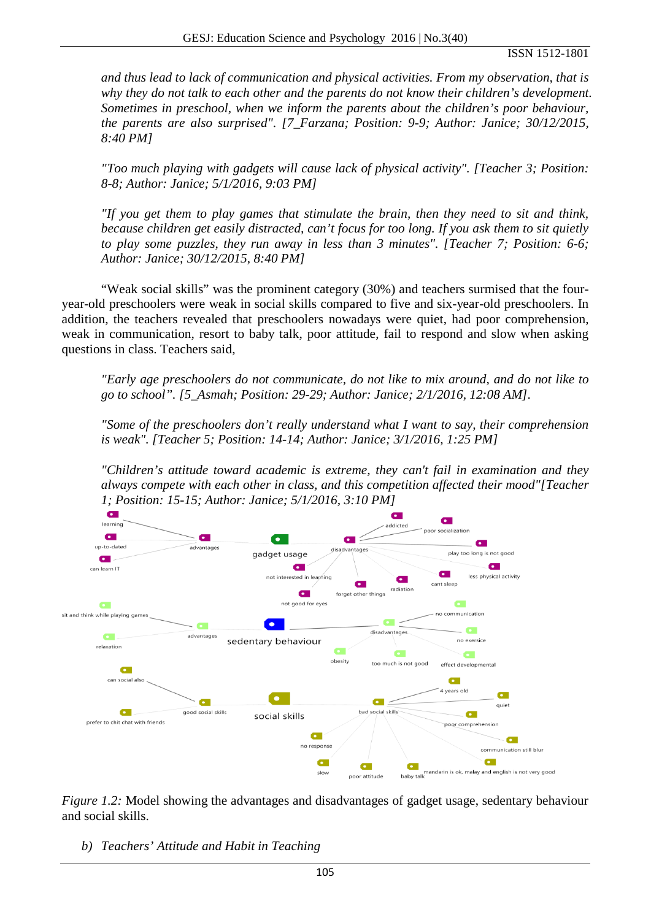#### ISSN 1512-1801

*and thus lead to lack of communication and physical activities. From my observation, that is why they do not talk to each other and the parents do not know their children's development. Sometimes in preschool, when we inform the parents about the children's poor behaviour, the parents are also surprised". [7\_Farzana; Position: 9-9; Author: Janice; 30/12/2015, 8:40 PM]*

*"Too much playing with gadgets will cause lack of physical activity". [Teacher 3; Position: 8-8; Author: Janice; 5/1/2016, 9:03 PM]*

*"If you get them to play games that stimulate the brain, then they need to sit and think, because children get easily distracted, can't focus for too long. If you ask them to sit quietly to play some puzzles, they run away in less than 3 minutes". [Teacher 7; Position: 6-6; Author: Janice; 30/12/2015, 8:40 PM]*

"Weak social skills" was the prominent category (30%) and teachers surmised that the fouryear-old preschoolers were weak in social skills compared to five and six-year-old preschoolers. In addition, the teachers revealed that preschoolers nowadays were quiet, had poor comprehension, weak in communication, resort to baby talk, poor attitude, fail to respond and slow when asking questions in class. Teachers said,

*"Early age preschoolers do not communicate, do not like to mix around, and do not like to go to school". [5\_Asmah; Position: 29-29; Author: Janice; 2/1/2016, 12:08 AM]*.

*"Some of the preschoolers don't really understand what I want to say, their comprehension is weak". [Teacher 5; Position: 14-14; Author: Janice; 3/1/2016, 1:25 PM]*

*"Children's attitude toward academic is extreme, they can't fail in examination and they always compete with each other in class, and this competition affected their mood"[Teacher 1; Position: 15-15; Author: Janice; 5/1/2016, 3:10 PM]*



*Figure 1.2:* Model showing the advantages and disadvantages of gadget usage, sedentary behaviour and social skills.

*b) Teachers' Attitude and Habit in Teaching*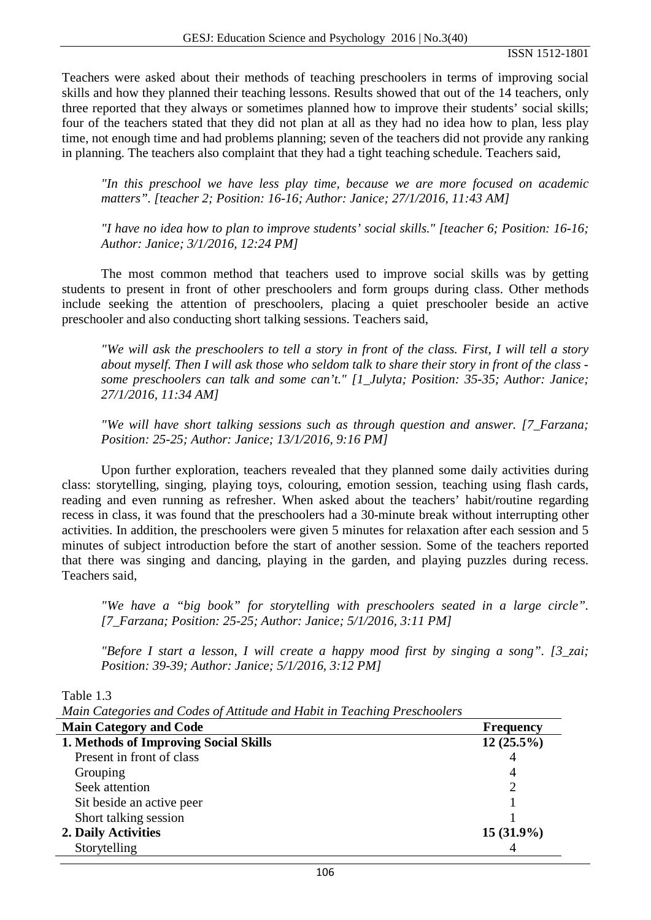Teachers were asked about their methods of teaching preschoolers in terms of improving social skills and how they planned their teaching lessons. Results showed that out of the 14 teachers, only three reported that they always or sometimes planned how to improve their students' social skills; four of the teachers stated that they did not plan at all as they had no idea how to plan, less play time, not enough time and had problems planning; seven of the teachers did not provide any ranking in planning. The teachers also complaint that they had a tight teaching schedule. Teachers said,

*"In this preschool we have less play time, because we are more focused on academic matters". [teacher 2; Position: 16-16; Author: Janice; 27/1/2016, 11:43 AM]*

*"I have no idea how to plan to improve students' social skills." [teacher 6; Position: 16-16; Author: Janice; 3/1/2016, 12:24 PM]*

The most common method that teachers used to improve social skills was by getting students to present in front of other preschoolers and form groups during class. Other methods include seeking the attention of preschoolers, placing a quiet preschooler beside an active preschooler and also conducting short talking sessions. Teachers said,

*"We will ask the preschoolers to tell a story in front of the class. First, I will tell a story about myself. Then I will ask those who seldom talk to share their story in front of the class some preschoolers can talk and some can't." [1\_Julyta; Position: 35-35; Author: Janice; 27/1/2016, 11:34 AM]*

*"We will have short talking sessions such as through question and answer. [7\_Farzana; Position: 25-25; Author: Janice; 13/1/2016, 9:16 PM]*

Upon further exploration, teachers revealed that they planned some daily activities during class: storytelling, singing, playing toys, colouring, emotion session, teaching using flash cards, reading and even running as refresher. When asked about the teachers' habit/routine regarding recess in class, it was found that the preschoolers had a 30-minute break without interrupting other activities. In addition, the preschoolers were given 5 minutes for relaxation after each session and 5 minutes of subject introduction before the start of another session. Some of the teachers reported that there was singing and dancing, playing in the garden, and playing puzzles during recess. Teachers said,

*"We have a "big book" for storytelling with preschoolers seated in a large circle". [7\_Farzana; Position: 25-25; Author: Janice; 5/1/2016, 3:11 PM]*

*"Before I start a lesson, I will create a happy mood first by singing a song". [3\_zai; Position: 39-39; Author: Janice; 5/1/2016, 3:12 PM]*

Table 1.3

*Main Categories and Codes of Attitude and Habit in Teaching Preschoolers*

| <b>Main Category and Code</b>         | <b>Frequency</b> |
|---------------------------------------|------------------|
| 1. Methods of Improving Social Skills | $12(25.5\%)$     |
| Present in front of class             | 4                |
| Grouping                              | 4                |
| Seek attention                        |                  |
| Sit beside an active peer             |                  |
| Short talking session                 |                  |
| 2. Daily Activities                   | $15(31.9\%)$     |
| Storytelling                          |                  |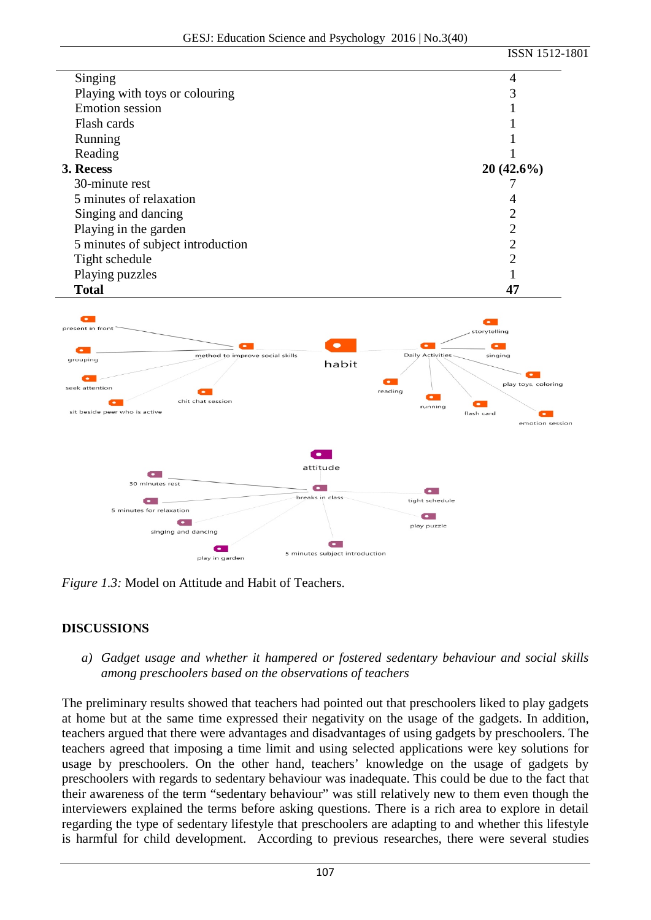|                                   | ISSN 1512-1801 |
|-----------------------------------|----------------|
| Singing                           | 4              |
| Playing with toys or colouring    |                |
| <b>Emotion</b> session            |                |
| Flash cards                       |                |
| Running                           |                |
| Reading                           |                |
| 3. Recess                         | $20(42.6\%)$   |
| 30-minute rest                    |                |
| 5 minutes of relaxation           | 4              |
| Singing and dancing               |                |
| Playing in the garden             |                |
| 5 minutes of subject introduction | 2              |
| Tight schedule                    | າ              |
| Playing puzzles                   |                |
| <b>Total</b>                      | 47             |



*Figure 1.3:* Model on Attitude and Habit of Teachers.

# **DISCUSSIONS**

*a) Gadget usage and whether it hampered or fostered sedentary behaviour and social skills among preschoolers based on the observations of teachers*

The preliminary results showed that teachers had pointed out that preschoolers liked to play gadgets at home but at the same time expressed their negativity on the usage of the gadgets. In addition, teachers argued that there were advantages and disadvantages of using gadgets by preschoolers. The teachers agreed that imposing a time limit and using selected applications were key solutions for usage by preschoolers. On the other hand, teachers' knowledge on the usage of gadgets by preschoolers with regards to sedentary behaviour was inadequate. This could be due to the fact that their awareness of the term "sedentary behaviour" was still relatively new to them even though the interviewers explained the terms before asking questions. There is a rich area to explore in detail regarding the type of sedentary lifestyle that preschoolers are adapting to and whether this lifestyle is harmful for child development. According to previous researches, there were several studies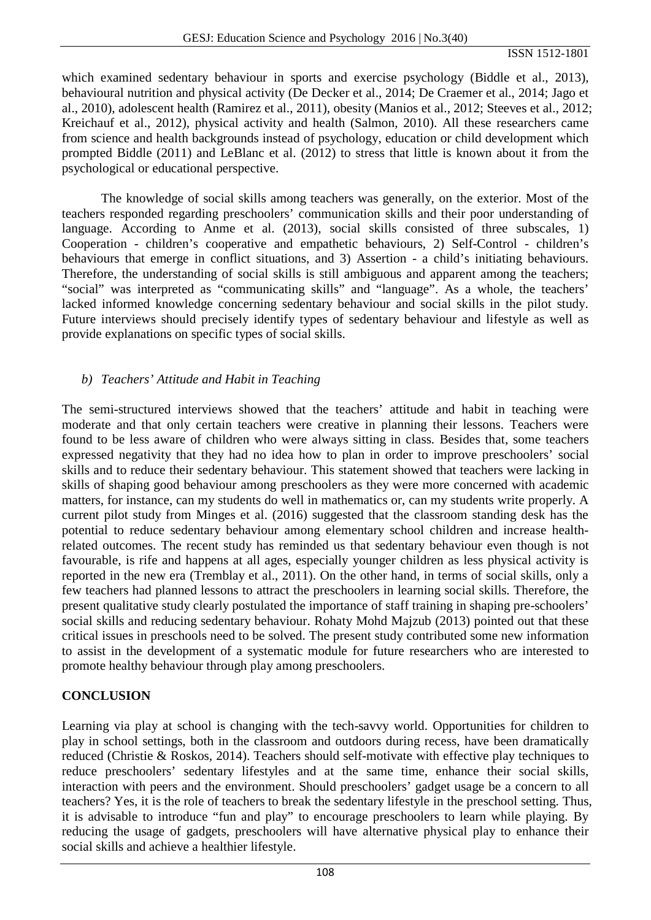which examined sedentary behaviour in sports and exercise psychology (Biddle et al., 2013), behavioural nutrition and physical activity (De Decker et al., 2014; De Craemer et al., 2014; Jago et al., 2010), adolescent health (Ramirez et al., 2011), obesity (Manios et al., 2012; Steeves et al., 2012; Kreichauf et al., 2012), physical activity and health (Salmon, 2010). All these researchers came from science and health backgrounds instead of psychology, education or child development which prompted Biddle (2011) and LeBlanc et al. (2012) to stress that little is known about it from the psychological or educational perspective.

The knowledge of social skills among teachers was generally, on the exterior. Most of the teachers responded regarding preschoolers' communication skills and their poor understanding of language. According to Anme et al. (2013), social skills consisted of three subscales, 1) Cooperation - children's cooperative and empathetic behaviours, 2) Self-Control - children's behaviours that emerge in conflict situations, and 3) Assertion - a child's initiating behaviours. Therefore, the understanding of social skills is still ambiguous and apparent among the teachers; "social" was interpreted as "communicating skills" and "language". As a whole, the teachers' lacked informed knowledge concerning sedentary behaviour and social skills in the pilot study. Future interviews should precisely identify types of sedentary behaviour and lifestyle as well as provide explanations on specific types of social skills.

### *b) Teachers' Attitude and Habit in Teaching*

The semi-structured interviews showed that the teachers' attitude and habit in teaching were moderate and that only certain teachers were creative in planning their lessons. Teachers were found to be less aware of children who were always sitting in class. Besides that, some teachers expressed negativity that they had no idea how to plan in order to improve preschoolers' social skills and to reduce their sedentary behaviour. This statement showed that teachers were lacking in skills of shaping good behaviour among preschoolers as they were more concerned with academic matters, for instance, can my students do well in mathematics or, can my students write properly. A current pilot study from Minges et al. (2016) suggested that the classroom standing desk has the potential to reduce sedentary behaviour among elementary school children and increase healthrelated outcomes. The recent study has reminded us that sedentary behaviour even though is not favourable, is rife and happens at all ages, especially younger children as less physical activity is reported in the new era (Tremblay et al., 2011). On the other hand, in terms of social skills, only a few teachers had planned lessons to attract the preschoolers in learning social skills. Therefore, the present qualitative study clearly postulated the importance of staff training in shaping pre-schoolers' social skills and reducing sedentary behaviour. Rohaty Mohd Majzub (2013) pointed out that these critical issues in preschools need to be solved. The present study contributed some new information to assist in the development of a systematic module for future researchers who are interested to promote healthy behaviour through play among preschoolers.

# **CONCLUSION**

Learning via play at school is changing with the tech-savvy world. Opportunities for children to play in school settings, both in the classroom and outdoors during recess, have been dramatically reduced (Christie & Roskos, 2014). Teachers should self-motivate with effective play techniques to reduce preschoolers' sedentary lifestyles and at the same time, enhance their social skills, interaction with peers and the environment. Should preschoolers' gadget usage be a concern to all teachers? Yes, it is the role of teachers to break the sedentary lifestyle in the preschool setting. Thus, it is advisable to introduce "fun and play" to encourage preschoolers to learn while playing. By reducing the usage of gadgets, preschoolers will have alternative physical play to enhance their social skills and achieve a healthier lifestyle.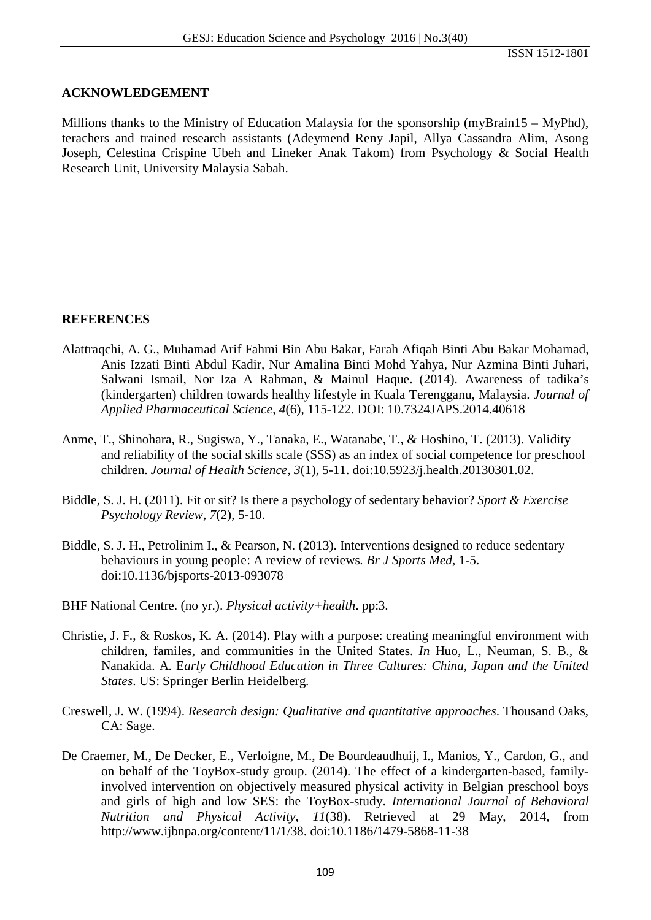#### **ACKNOWLEDGEMENT**

Millions thanks to the Ministry of Education Malaysia for the sponsorship (myBrain15 – MyPhd), terachers and trained research assistants (Adeymend Reny Japil, Allya Cassandra Alim, Asong Joseph, Celestina Crispine Ubeh and Lineker Anak Takom) from Psychology & Social Health Research Unit, University Malaysia Sabah.

### **REFERENCES**

- Alattraqchi, A. G., Muhamad Arif Fahmi Bin Abu Bakar, Farah Afiqah Binti Abu Bakar Mohamad, Anis Izzati Binti Abdul Kadir, Nur Amalina Binti Mohd Yahya, Nur Azmina Binti Juhari, Salwani Ismail, Nor Iza A Rahman, & Mainul Haque. (2014). Awareness of tadika's (kindergarten) children towards healthy lifestyle in Kuala Terengganu, Malaysia. *Journal of Applied Pharmaceutical Science*, *4*(6), 115-122. DOI: 10.7324JAPS.2014.40618
- Anme, T., Shinohara, R., Sugiswa, Y., Tanaka, E., Watanabe, T., & Hoshino, T. (2013). Validity and reliability of the social skills scale (SSS) as an index of social competence for preschool children. *Journal of Health Science*, *3*(1), 5-11. doi:10.5923/j.health.20130301.02.
- Biddle, S. J. H. (2011). Fit or sit? Is there a psychology of sedentary behavior? *Sport & Exercise Psychology Review*, *7*(2), 5-10.
- Biddle, S. J. H., Petrolinim I., & Pearson, N. (2013). Interventions designed to reduce sedentary behaviours in young people: A review of reviews*. Br J Sports Med*, 1-5. doi:10.1136/bjsports-2013-093078
- BHF National Centre. (no yr.). *Physical activity+health*. pp:3.
- Christie, J. F., & Roskos, K. A. (2014). Play with a purpose: creating meaningful environment with children, familes, and communities in the United States. *In* Huo, L., Neuman, S. B., & Nanakida. A. E*arly Childhood Education in Three Cultures: China, Japan and the United States*. US: Springer Berlin Heidelberg.
- Creswell, J. W. (1994). *Research design: Qualitative and quantitative approaches*. Thousand Oaks, CA: Sage.
- De Craemer, M., De Decker, E., Verloigne, M., De Bourdeaudhuij, I., Manios, Y., Cardon, G., and on behalf of the ToyBox-study group. (2014). The effect of a kindergarten-based, familyinvolved intervention on objectively measured physical activity in Belgian preschool boys and girls of high and low SES: the ToyBox-study. *International Journal of Behavioral Nutrition and Physical Activity*, *11*(38). Retrieved at 29 May, 2014, from http://www.ijbnpa.org/content/11/1/38. doi:10.1186/1479-5868-11-38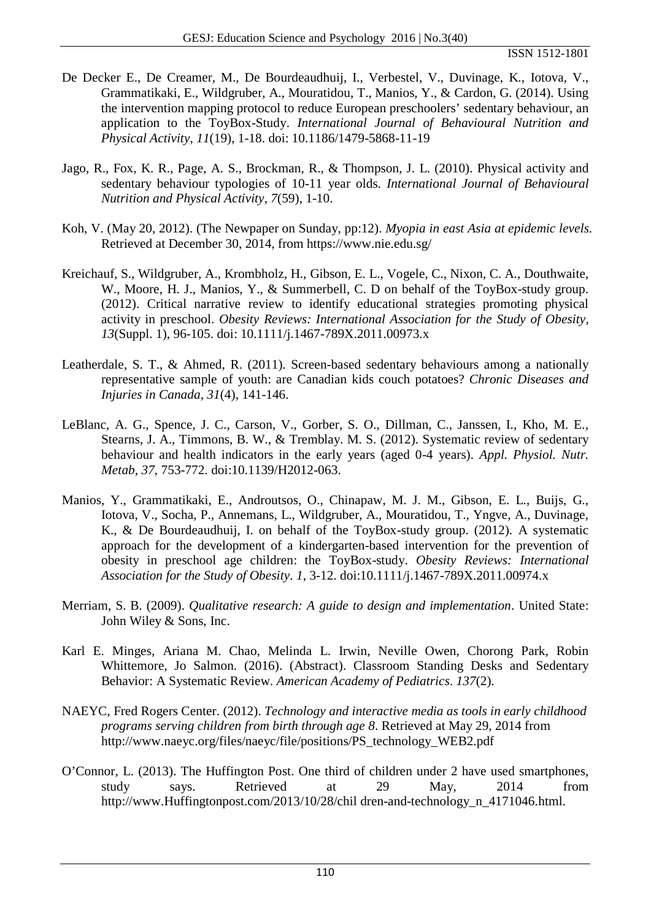- De Decker E., De Creamer, M., De Bourdeaudhuij, I., Verbestel, V., Duvinage, K., Iotova, V., Grammatikaki, E., Wildgruber, A., Mouratidou, T., Manios, Y., & Cardon, G. (2014). Using the intervention mapping protocol to reduce European preschoolers' sedentary behaviour, an application to the ToyBox-Study. *International Journal of Behavioural Nutrition and Physical Activity*, *11*(19), 1-18. doi: 10.1186/1479-5868-11-19
- Jago, R., Fox, K. R., Page, A. S., Brockman, R., & Thompson, J. L. (2010). Physical activity and sedentary behaviour typologies of 10-11 year olds. *International Journal of Behavioural Nutrition and Physical Activity*, *7*(59), 1-10.
- Koh, V. (May 20, 2012). (The Newpaper on Sunday, pp:12). *Myopia in east Asia at epidemic levels*. Retrieved at December 30, 2014, from https://www.nie.edu.sg/
- Kreichauf, S., Wildgruber, A., Krombholz, H., Gibson, E. L., Vogele, C., Nixon, C. A., Douthwaite, W., Moore, H. J., Manios, Y., & Summerbell, C. D on behalf of the ToyBox-study group. (2012). Critical narrative review to identify educational strategies promoting physical activity in preschool. *Obesity Reviews: International Association for the Study of Obesity*, *13*(Suppl. 1), 96-105. doi: 10.1111/j.1467-789X.2011.00973.x
- Leatherdale, S. T., & Ahmed, R. (2011). Screen-based sedentary behaviours among a nationally representative sample of youth: are Canadian kids couch potatoes? *Chronic Diseases and Injuries in Canada*, *31*(4), 141-146.
- LeBlanc, A. G., Spence, J. C., Carson, V., Gorber, S. O., Dillman, C., Janssen, I., Kho, M. E., Stearns, J. A., Timmons, B. W., & Tremblay. M. S. (2012). Systematic review of sedentary behaviour and health indicators in the early years (aged 0-4 years). *Appl. Physiol. Nutr. Metab*, *37*, 753-772. doi:10.1139/H2012-063.
- Manios, Y., Grammatikaki, E., Androutsos, O., Chinapaw, M. J. M., Gibson, E. L., Buijs, G., Iotova, V., Socha, P., Annemans, L., Wildgruber, A., Mouratidou, T., Yngve, A., Duvinage, K., & De Bourdeaudhuij, I. on behalf of the ToyBox-study group. (2012). A systematic approach for the development of a kindergarten-based intervention for the prevention of obesity in preschool age children: the ToyBox-study. *Obesity Reviews: International Association for the Study of Obesity*. *1*, 3-12. doi:10.1111/j.1467-789X.2011.00974.x
- Merriam, S. B. (2009). *Qualitative research: A guide to design and implementation*. United State: John Wiley & Sons, Inc.
- Karl E. Minges, Ariana M. Chao, Melinda L. Irwin, Neville Owen, Chorong Park, Robin Whittemore, Jo Salmon. (2016). (Abstract). Classroom Standing Desks and Sedentary Behavior: A Systematic Review. *American Academy of Pediatrics*. *137*(2).
- NAEYC, Fred Rogers Center. (2012). *Technology and interactive media as tools in early childhood programs serving children from birth through age 8*. Retrieved at May 29, 2014 from http://www.naeyc.org/files/naeyc/file/positions/PS\_technology\_WEB2.pdf
- O'Connor, L. (2013). The Huffington Post. One third of children under 2 have used smartphones, study says. Retrieved at 29 May, 2014 from http://www.Huffingtonpost.com/2013/10/28/chil dren-and-technology\_n\_4171046.html.